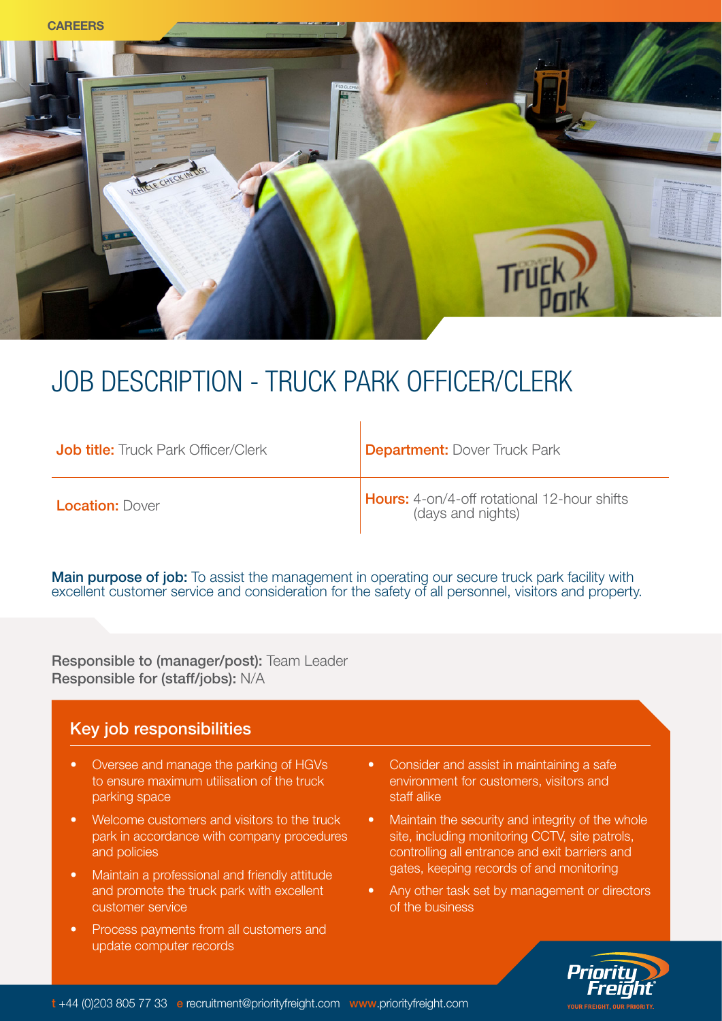

# JOB DESCRIPTION - TRUCK PARK OFFICER/CLERK

| <b>Job title:</b> Truck Park Officer/Clerk | <b>Department: Dover Truck Park</b>                              |
|--------------------------------------------|------------------------------------------------------------------|
| <b>Location: Dover</b>                     | Hours: 4-on/4-off rotational 12-hour shifts<br>(days and nights) |

 $\overline{1}$ 

**Main purpose of job:** To assist the management in operating our secure truck park facility with excellent customer service and consideration for the safety of all personnel, visitors and property.

Responsible to (manager/post): Team Leader Responsible for (staff/jobs): N/A

### Key job responsibilities

- Oversee and manage the parking of HGVs to ensure maximum utilisation of the truck parking space
- Welcome customers and visitors to the truck park in accordance with company procedures and policies
- Maintain a professional and friendly attitude and promote the truck park with excellent customer service
- Process payments from all customers and update computer records
- Consider and assist in maintaining a safe environment for customers, visitors and staff alike
- Maintain the security and integrity of the whole site, including monitoring CCTV, site patrols, controlling all entrance and exit barriers and gates, keeping records of and monitoring
- Any other task set by management or directors of the business